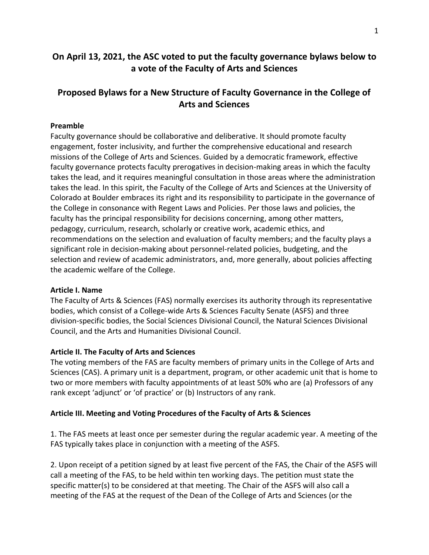# **On April 13, 2021, the ASC voted to put the faculty governance bylaws below to a vote of the Faculty of Arts and Sciences**

# **Proposed Bylaws for a New Structure of Faculty Governance in the College of Arts and Sciences**

# **Preamble**

Faculty governance should be collaborative and deliberative. It should promote faculty engagement, foster inclusivity, and further the comprehensive educational and research missions of the College of Arts and Sciences. Guided by a democratic framework, effective faculty governance protects faculty prerogatives in decision-making areas in which the faculty takes the lead, and it requires meaningful consultation in those areas where the administration takes the lead. In this spirit, the Faculty of the College of Arts and Sciences at the University of Colorado at Boulder embraces its right and its responsibility to participate in the governance of the College in consonance with Regent Laws and Policies. Per those laws and policies, the faculty has the principal responsibility for decisions concerning, among other matters, pedagogy, curriculum, research, scholarly or creative work, academic ethics, and recommendations on the selection and evaluation of faculty members; and the faculty plays a significant role in decision-making about personnel-related policies, budgeting, and the selection and review of academic administrators, and, more generally, about policies affecting the academic welfare of the College.

### **Article I. Name**

The Faculty of Arts & Sciences (FAS) normally exercises its authority through its representative bodies, which consist of a College-wide Arts & Sciences Faculty Senate (ASFS) and three division-specific bodies, the Social Sciences Divisional Council, the Natural Sciences Divisional Council, and the Arts and Humanities Divisional Council.

### **Article II. The Faculty of Arts and Sciences**

The voting members of the FAS are faculty members of primary units in the College of Arts and Sciences (CAS). A primary unit is a department, program, or other academic unit that is home to two or more members with faculty appointments of at least 50% who are (a) Professors of any rank except 'adjunct' or 'of practice' or (b) Instructors of any rank.

### **Article III. Meeting and Voting Procedures of the Faculty of Arts & Sciences**

1. The FAS meets at least once per semester during the regular academic year. A meeting of the FAS typically takes place in conjunction with a meeting of the ASFS.

2. Upon receipt of a petition signed by at least five percent of the FAS, the Chair of the ASFS will call a meeting of the FAS, to be held within ten working days. The petition must state the specific matter(s) to be considered at that meeting. The Chair of the ASFS will also call a meeting of the FAS at the request of the Dean of the College of Arts and Sciences (or the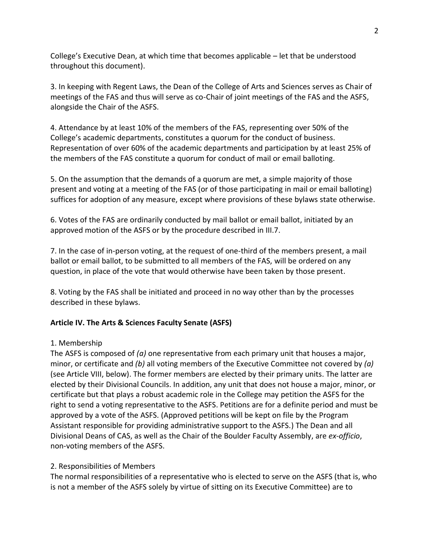College's Executive Dean, at which time that becomes applicable – let that be understood throughout this document).

3. In keeping with Regent Laws, the Dean of the College of Arts and Sciences serves as Chair of meetings of the FAS and thus will serve as co-Chair of joint meetings of the FAS and the ASFS, alongside the Chair of the ASFS.

4. Attendance by at least 10% of the members of the FAS, representing over 50% of the College's academic departments, constitutes a quorum for the conduct of business. Representation of over 60% of the academic departments and participation by at least 25% of the members of the FAS constitute a quorum for conduct of mail or email balloting.

5. On the assumption that the demands of a quorum are met, a simple majority of those present and voting at a meeting of the FAS (or of those participating in mail or email balloting) suffices for adoption of any measure, except where provisions of these bylaws state otherwise.

6. Votes of the FAS are ordinarily conducted by mail ballot or email ballot, initiated by an approved motion of the ASFS or by the procedure described in III.7.

7. In the case of in-person voting, at the request of one-third of the members present, a mail ballot or email ballot, to be submitted to all members of the FAS, will be ordered on any question, in place of the vote that would otherwise have been taken by those present.

8. Voting by the FAS shall be initiated and proceed in no way other than by the processes described in these bylaws.

# **Article IV. The Arts & Sciences Faculty Senate (ASFS)**

# 1. Membership

The ASFS is composed of *(a)* one representative from each primary unit that houses a major, minor, or certificate and *(b)* all voting members of the Executive Committee not covered by *(a)* (see Article VIII, below). The former members are elected by their primary units. The latter are elected by their Divisional Councils. In addition, any unit that does not house a major, minor, or certificate but that plays a robust academic role in the College may petition the ASFS for the right to send a voting representative to the ASFS. Petitions are for a definite period and must be approved by a vote of the ASFS. (Approved petitions will be kept on file by the Program Assistant responsible for providing administrative support to the ASFS.) The Dean and all Divisional Deans of CAS, as well as the Chair of the Boulder Faculty Assembly, are *ex-officio*, non-voting members of the ASFS.

# 2. Responsibilities of Members

The normal responsibilities of a representative who is elected to serve on the ASFS (that is, who is not a member of the ASFS solely by virtue of sitting on its Executive Committee) are to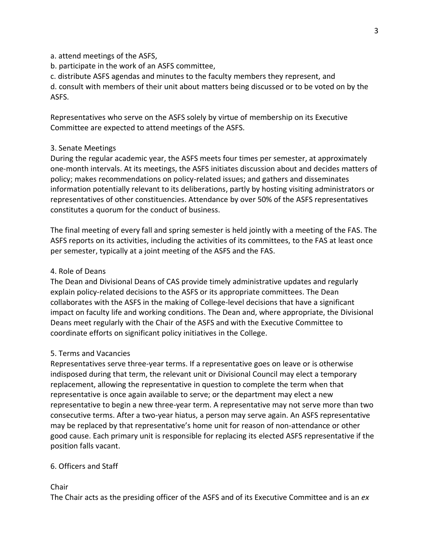### a. attend meetings of the ASFS,

- b. participate in the work of an ASFS committee,
- c. distribute ASFS agendas and minutes to the faculty members they represent, and

d. consult with members of their unit about matters being discussed or to be voted on by the ASFS.

Representatives who serve on the ASFS solely by virtue of membership on its Executive Committee are expected to attend meetings of the ASFS.

### 3. Senate Meetings

During the regular academic year, the ASFS meets four times per semester, at approximately one-month intervals. At its meetings, the ASFS initiates discussion about and decides matters of policy; makes recommendations on policy-related issues; and gathers and disseminates information potentially relevant to its deliberations, partly by hosting visiting administrators or representatives of other constituencies. Attendance by over 50% of the ASFS representatives constitutes a quorum for the conduct of business.

The final meeting of every fall and spring semester is held jointly with a meeting of the FAS. The ASFS reports on its activities, including the activities of its committees, to the FAS at least once per semester, typically at a joint meeting of the ASFS and the FAS.

### 4. Role of Deans

The Dean and Divisional Deans of CAS provide timely administrative updates and regularly explain policy-related decisions to the ASFS or its appropriate committees. The Dean collaborates with the ASFS in the making of College-level decisions that have a significant impact on faculty life and working conditions. The Dean and, where appropriate, the Divisional Deans meet regularly with the Chair of the ASFS and with the Executive Committee to coordinate efforts on significant policy initiatives in the College.

### 5. Terms and Vacancies

Representatives serve three-year terms. If a representative goes on leave or is otherwise indisposed during that term, the relevant unit or Divisional Council may elect a temporary replacement, allowing the representative in question to complete the term when that representative is once again available to serve; or the department may elect a new representative to begin a new three-year term. A representative may not serve more than two consecutive terms. After a two-year hiatus, a person may serve again. An ASFS representative may be replaced by that representative's home unit for reason of non-attendance or other good cause. Each primary unit is responsible for replacing its elected ASFS representative if the position falls vacant.

### 6. Officers and Staff

### Chair

The Chair acts as the presiding officer of the ASFS and of its Executive Committee and is an *ex*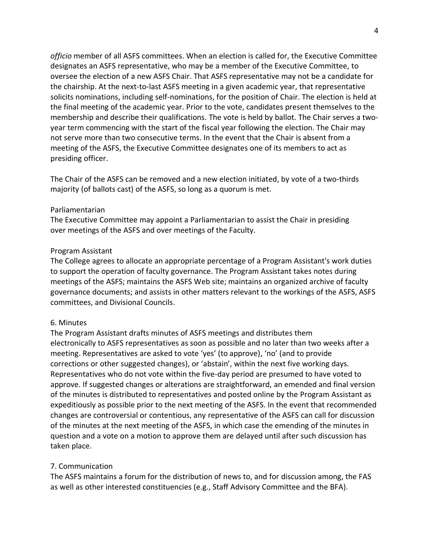*officio* member of all ASFS committees. When an election is called for, the Executive Committee designates an ASFS representative, who may be a member of the Executive Committee, to oversee the election of a new ASFS Chair. That ASFS representative may not be a candidate for the chairship. At the next-to-last ASFS meeting in a given academic year, that representative solicits nominations, including self-nominations, for the position of Chair. The election is held at the final meeting of the academic year. Prior to the vote, candidates present themselves to the membership and describe their qualifications. The vote is held by ballot. The Chair serves a twoyear term commencing with the start of the fiscal year following the election. The Chair may not serve more than two consecutive terms. In the event that the Chair is absent from a meeting of the ASFS, the Executive Committee designates one of its members to act as presiding officer.

The Chair of the ASFS can be removed and a new election initiated, by vote of a two-thirds majority (of ballots cast) of the ASFS, so long as a quorum is met.

### Parliamentarian

The Executive Committee may appoint a Parliamentarian to assist the Chair in presiding over meetings of the ASFS and over meetings of the Faculty.

### Program Assistant

The College agrees to allocate an appropriate percentage of a Program Assistant's work duties to support the operation of faculty governance. The Program Assistant takes notes during meetings of the ASFS; maintains the ASFS Web site; maintains an organized archive of faculty governance documents; and assists in other matters relevant to the workings of the ASFS, ASFS committees, and Divisional Councils.

### 6. Minutes

The Program Assistant drafts minutes of ASFS meetings and distributes them electronically to ASFS representatives as soon as possible and no later than two weeks after a meeting. Representatives are asked to vote 'yes' (to approve), 'no' (and to provide corrections or other suggested changes), or 'abstain', within the next five working days. Representatives who do not vote within the five-day period are presumed to have voted to approve. If suggested changes or alterations are straightforward, an emended and final version of the minutes is distributed to representatives and posted online by the Program Assistant as expeditiously as possible prior to the next meeting of the ASFS. In the event that recommended changes are controversial or contentious, any representative of the ASFS can call for discussion of the minutes at the next meeting of the ASFS, in which case the emending of the minutes in question and a vote on a motion to approve them are delayed until after such discussion has taken place.

### 7. Communication

The ASFS maintains a forum for the distribution of news to, and for discussion among, the FAS as well as other interested constituencies (e.g., Staff Advisory Committee and the BFA).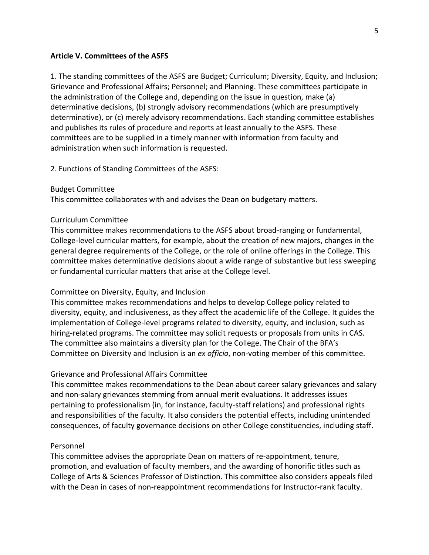### **Article V. Committees of the ASFS**

1. The standing committees of the ASFS are Budget; Curriculum; Diversity, Equity, and Inclusion; Grievance and Professional Affairs; Personnel; and Planning. These committees participate in the administration of the College and, depending on the issue in question, make (a) determinative decisions, (b) strongly advisory recommendations (which are presumptively determinative), or (c) merely advisory recommendations. Each standing committee establishes and publishes its rules of procedure and reports at least annually to the ASFS. These committees are to be supplied in a timely manner with information from faculty and administration when such information is requested.

2. Functions of Standing Committees of the ASFS:

#### Budget Committee

This committee collaborates with and advises the Dean on budgetary matters.

#### Curriculum Committee

This committee makes recommendations to the ASFS about broad-ranging or fundamental, College-level curricular matters, for example, about the creation of new majors, changes in the general degree requirements of the College, or the role of online offerings in the College. This committee makes determinative decisions about a wide range of substantive but less sweeping or fundamental curricular matters that arise at the College level.

#### Committee on Diversity, Equity, and Inclusion

This committee makes recommendations and helps to develop College policy related to diversity, equity, and inclusiveness, as they affect the academic life of the College. It guides the implementation of College-level programs related to diversity, equity, and inclusion, such as hiring-related programs. The committee may solicit requests or proposals from units in CAS. The committee also maintains a diversity plan for the College. The Chair of the BFA's Committee on Diversity and Inclusion is an *ex officio*, non-voting member of this committee.

#### Grievance and Professional Affairs Committee

This committee makes recommendations to the Dean about career salary grievances and salary and non-salary grievances stemming from annual merit evaluations. It addresses issues pertaining to professionalism (in, for instance, faculty-staff relations) and professional rights and responsibilities of the faculty. It also considers the potential effects, including unintended consequences, of faculty governance decisions on other College constituencies, including staff.

#### Personnel

This committee advises the appropriate Dean on matters of re-appointment, tenure, promotion, and evaluation of faculty members, and the awarding of honorific titles such as College of Arts & Sciences Professor of Distinction. This committee also considers appeals filed with the Dean in cases of non-reappointment recommendations for Instructor-rank faculty.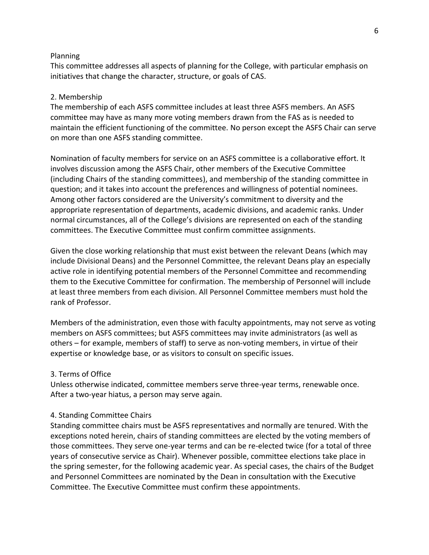#### Planning

This committee addresses all aspects of planning for the College, with particular emphasis on initiatives that change the character, structure, or goals of CAS.

### 2. Membership

The membership of each ASFS committee includes at least three ASFS members. An ASFS committee may have as many more voting members drawn from the FAS as is needed to maintain the efficient functioning of the committee. No person except the ASFS Chair can serve on more than one ASFS standing committee.

Nomination of faculty members for service on an ASFS committee is a collaborative effort. It involves discussion among the ASFS Chair, other members of the Executive Committee (including Chairs of the standing committees), and membership of the standing committee in question; and it takes into account the preferences and willingness of potential nominees. Among other factors considered are the University's commitment to diversity and the appropriate representation of departments, academic divisions, and academic ranks. Under normal circumstances, all of the College's divisions are represented on each of the standing committees. The Executive Committee must confirm committee assignments.

Given the close working relationship that must exist between the relevant Deans (which may include Divisional Deans) and the Personnel Committee, the relevant Deans play an especially active role in identifying potential members of the Personnel Committee and recommending them to the Executive Committee for confirmation. The membership of Personnel will include at least three members from each division. All Personnel Committee members must hold the rank of Professor.

Members of the administration, even those with faculty appointments, may not serve as voting members on ASFS committees; but ASFS committees may invite administrators (as well as others – for example, members of staff) to serve as non-voting members, in virtue of their expertise or knowledge base, or as visitors to consult on specific issues.

#### 3. Terms of Office

Unless otherwise indicated, committee members serve three-year terms, renewable once. After a two-year hiatus, a person may serve again.

#### 4. Standing Committee Chairs

Standing committee chairs must be ASFS representatives and normally are tenured. With the exceptions noted herein, chairs of standing committees are elected by the voting members of those committees. They serve one-year terms and can be re-elected twice (for a total of three years of consecutive service as Chair). Whenever possible, committee elections take place in the spring semester, for the following academic year. As special cases, the chairs of the Budget and Personnel Committees are nominated by the Dean in consultation with the Executive Committee. The Executive Committee must confirm these appointments.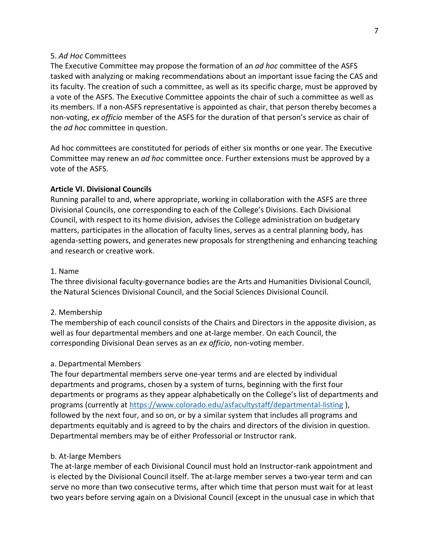### 5. *Ad Hoc* Committees

The Executive Committee may propose the formation of an *ad hoc* committee of the ASFS tasked with analyzing or making recommendations about an important issue facing the CAS and its faculty. The creation of such a committee, as well as its specific charge, must be approved by a vote of the ASFS. The Executive Committee appoints the chair of such a committee as well as its members. If a non-ASFS representative is appointed as chair, that person thereby becomes a non-voting, *ex officio* member of the ASFS for the duration of that person's service as chair of the *ad hoc* committee in question.

Ad hoc committees are constituted for periods of either six months or one year. The Executive Committee may renew an *ad hoc* committee once. Further extensions must be approved by a vote of the ASFS.

### **Article VI. Divisional Councils**

Running parallel to and, where appropriate, working in collaboration with the ASFS are three Divisional Councils, one corresponding to each of the College's Divisions. Each Divisional Council, with respect to its home division, advises the College administration on budgetary matters, participates in the allocation of faculty lines, serves as a central planning body, has agenda-setting powers, and generates new proposals for strengthening and enhancing teaching and research or creative work.

### 1. Name

The three divisional faculty-governance bodies are the Arts and Humanities Divisional Council, the Natural Sciences Divisional Council, and the Social Sciences Divisional Council.

### 2. Membership

The membership of each council consists of the Chairs and Directors in the apposite division, as well as four departmental members and one at-large member. On each Council, the corresponding Divisional Dean serves as an *ex officio*, non-voting member.

### a. Departmental Members

The four departmental members serve one-year terms and are elected by individual departments and programs, chosen by a system of turns, beginning with the first four departments or programs as they appear alphabetically on the College's list of departments and programs (currently at<https://www.colorado.edu/asfacultystaff/departmental-listing> ), followed by the next four, and so on, or by a similar system that includes all programs and departments equitably and is agreed to by the chairs and directors of the division in question. Departmental members may be of either Professorial or Instructor rank.

#### b. At-large Members

The at-large member of each Divisional Council must hold an Instructor-rank appointment and is elected by the Divisional Council itself. The at-large member serves a two-year term and can serve no more than two consecutive terms, after which time that person must wait for at least two years before serving again on a Divisional Council (except in the unusual case in which that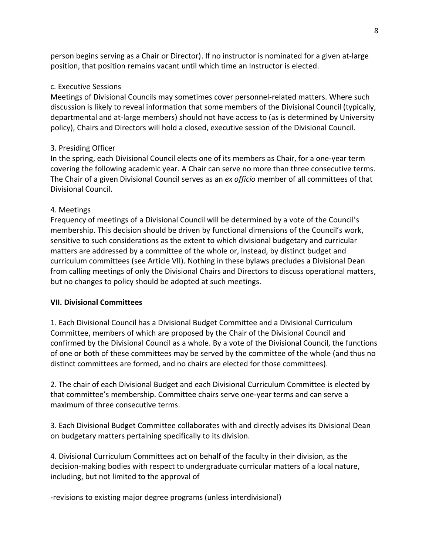person begins serving as a Chair or Director). If no instructor is nominated for a given at-large position, that position remains vacant until which time an Instructor is elected.

# c. Executive Sessions

Meetings of Divisional Councils may sometimes cover personnel-related matters. Where such discussion is likely to reveal information that some members of the Divisional Council (typically, departmental and at-large members) should not have access to (as is determined by University policy), Chairs and Directors will hold a closed, executive session of the Divisional Council.

# 3. Presiding Officer

In the spring, each Divisional Council elects one of its members as Chair, for a one-year term covering the following academic year. A Chair can serve no more than three consecutive terms. The Chair of a given Divisional Council serves as an *ex officio* member of all committees of that Divisional Council.

# 4. Meetings

Frequency of meetings of a Divisional Council will be determined by a vote of the Council's membership. This decision should be driven by functional dimensions of the Council's work, sensitive to such considerations as the extent to which divisional budgetary and curricular matters are addressed by a committee of the whole or, instead, by distinct budget and curriculum committees (see Article VII). Nothing in these bylaws precludes a Divisional Dean from calling meetings of only the Divisional Chairs and Directors to discuss operational matters, but no changes to policy should be adopted at such meetings.

### **VII. Divisional Committees**

1. Each Divisional Council has a Divisional Budget Committee and a Divisional Curriculum Committee, members of which are proposed by the Chair of the Divisional Council and confirmed by the Divisional Council as a whole. By a vote of the Divisional Council, the functions of one or both of these committees may be served by the committee of the whole (and thus no distinct committees are formed, and no chairs are elected for those committees).

2. The chair of each Divisional Budget and each Divisional Curriculum Committee is elected by that committee's membership. Committee chairs serve one-year terms and can serve a maximum of three consecutive terms.

3. Each Divisional Budget Committee collaborates with and directly advises its Divisional Dean on budgetary matters pertaining specifically to its division.

4. Divisional Curriculum Committees act on behalf of the faculty in their division, as the decision-making bodies with respect to undergraduate curricular matters of a local nature, including, but not limited to the approval of

-revisions to existing major degree programs (unless interdivisional)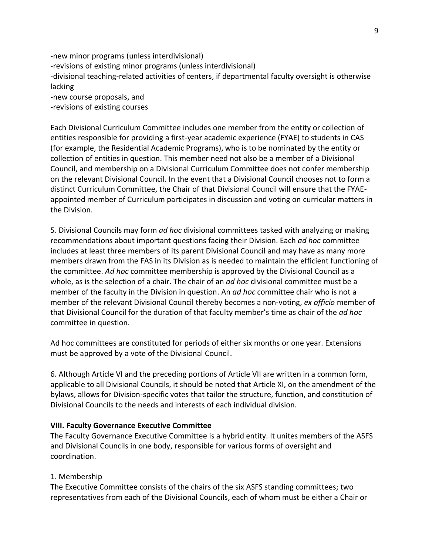-new minor programs (unless interdivisional) -revisions of existing minor programs (unless interdivisional) -divisional teaching-related activities of centers, if departmental faculty oversight is otherwise lacking -new course proposals, and -revisions of existing courses

Each Divisional Curriculum Committee includes one member from the entity or collection of entities responsible for providing a first-year academic experience (FYAE) to students in CAS (for example, the Residential Academic Programs), who is to be nominated by the entity or collection of entities in question. This member need not also be a member of a Divisional Council, and membership on a Divisional Curriculum Committee does not confer membership on the relevant Divisional Council. In the event that a Divisional Council chooses not to form a distinct Curriculum Committee, the Chair of that Divisional Council will ensure that the FYAEappointed member of Curriculum participates in discussion and voting on curricular matters in the Division.

5. Divisional Councils may form *ad hoc* divisional committees tasked with analyzing or making recommendations about important questions facing their Division. Each *ad hoc* committee includes at least three members of its parent Divisional Council and may have as many more members drawn from the FAS in its Division as is needed to maintain the efficient functioning of the committee. *Ad hoc* committee membership is approved by the Divisional Council as a whole, as is the selection of a chair. The chair of an *ad hoc* divisional committee must be a member of the faculty in the Division in question. An *ad hoc* committee chair who is not a member of the relevant Divisional Council thereby becomes a non-voting, *ex officio* member of that Divisional Council for the duration of that faculty member's time as chair of the *ad hoc* committee in question.

Ad hoc committees are constituted for periods of either six months or one year. Extensions must be approved by a vote of the Divisional Council.

6. Although Article VI and the preceding portions of Article VII are written in a common form, applicable to all Divisional Councils, it should be noted that Article XI, on the amendment of the bylaws, allows for Division-specific votes that tailor the structure, function, and constitution of Divisional Councils to the needs and interests of each individual division.

### **VIII. Faculty Governance Executive Committee**

The Faculty Governance Executive Committee is a hybrid entity. It unites members of the ASFS and Divisional Councils in one body, responsible for various forms of oversight and coordination.

#### 1. Membership

The Executive Committee consists of the chairs of the six ASFS standing committees; two representatives from each of the Divisional Councils, each of whom must be either a Chair or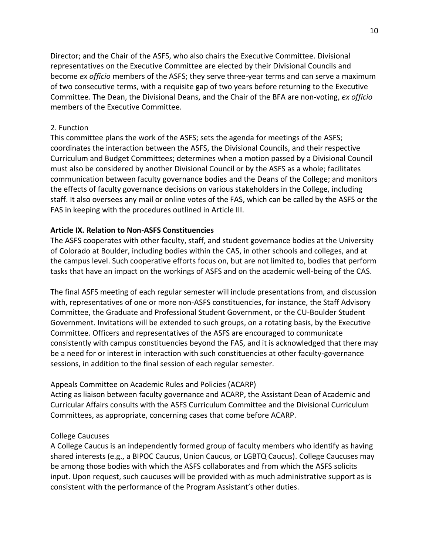Director; and the Chair of the ASFS, who also chairs the Executive Committee. Divisional representatives on the Executive Committee are elected by their Divisional Councils and become *ex officio* members of the ASFS; they serve three-year terms and can serve a maximum of two consecutive terms, with a requisite gap of two years before returning to the Executive Committee. The Dean, the Divisional Deans, and the Chair of the BFA are non-voting, *ex officio* members of the Executive Committee.

### 2. Function

This committee plans the work of the ASFS; sets the agenda for meetings of the ASFS; coordinates the interaction between the ASFS, the Divisional Councils, and their respective Curriculum and Budget Committees; determines when a motion passed by a Divisional Council must also be considered by another Divisional Council or by the ASFS as a whole; facilitates communication between faculty governance bodies and the Deans of the College; and monitors the effects of faculty governance decisions on various stakeholders in the College, including staff. It also oversees any mail or online votes of the FAS, which can be called by the ASFS or the FAS in keeping with the procedures outlined in Article III.

### **Article IX. Relation to Non-ASFS Constituencies**

The ASFS cooperates with other faculty, staff, and student governance bodies at the University of Colorado at Boulder, including bodies within the CAS, in other schools and colleges, and at the campus level. Such cooperative efforts focus on, but are not limited to, bodies that perform tasks that have an impact on the workings of ASFS and on the academic well-being of the CAS.

The final ASFS meeting of each regular semester will include presentations from, and discussion with, representatives of one or more non-ASFS constituencies, for instance, the Staff Advisory Committee, the Graduate and Professional Student Government, or the CU-Boulder Student Government. Invitations will be extended to such groups, on a rotating basis, by the Executive Committee. Officers and representatives of the ASFS are encouraged to communicate consistently with campus constituencies beyond the FAS, and it is acknowledged that there may be a need for or interest in interaction with such constituencies at other faculty-governance sessions, in addition to the final session of each regular semester.

### Appeals Committee on Academic Rules and Policies (ACARP)

Acting as liaison between faculty governance and ACARP, the Assistant Dean of Academic and Curricular Affairs consults with the ASFS Curriculum Committee and the Divisional Curriculum Committees, as appropriate, concerning cases that come before ACARP.

### College Caucuses

A College Caucus is an independently formed group of faculty members who identify as having shared interests (e.g., a BIPOC Caucus, Union Caucus, or LGBTQ Caucus). College Caucuses may be among those bodies with which the ASFS collaborates and from which the ASFS solicits input. Upon request, such caucuses will be provided with as much administrative support as is consistent with the performance of the Program Assistant's other duties.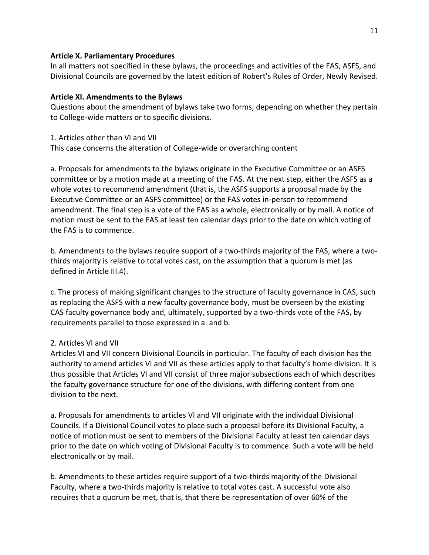### **Article X. Parliamentary Procedures**

In all matters not specified in these bylaws, the proceedings and activities of the FAS, ASFS, and Divisional Councils are governed by the latest edition of Robert's Rules of Order, Newly Revised.

# **Article XI. Amendments to the Bylaws**

Questions about the amendment of bylaws take two forms, depending on whether they pertain to College-wide matters or to specific divisions.

# 1. Articles other than VI and VII

This case concerns the alteration of College-wide or overarching content

a. Proposals for amendments to the bylaws originate in the Executive Committee or an ASFS committee or by a motion made at a meeting of the FAS. At the next step, either the ASFS as a whole votes to recommend amendment (that is, the ASFS supports a proposal made by the Executive Committee or an ASFS committee) or the FAS votes in-person to recommend amendment. The final step is a vote of the FAS as a whole, electronically or by mail. A notice of motion must be sent to the FAS at least ten calendar days prior to the date on which voting of the FAS is to commence.

b. Amendments to the bylaws require support of a two-thirds majority of the FAS, where a twothirds majority is relative to total votes cast, on the assumption that a quorum is met (as defined in Article III.4).

c. The process of making significant changes to the structure of faculty governance in CAS, such as replacing the ASFS with a new faculty governance body, must be overseen by the existing CAS faculty governance body and, ultimately, supported by a two-thirds vote of the FAS, by requirements parallel to those expressed in a. and b.

# 2. Articles VI and VII

Articles VI and VII concern Divisional Councils in particular. The faculty of each division has the authority to amend articles VI and VII as these articles apply to that faculty's home division. It is thus possible that Articles VI and VII consist of three major subsections each of which describes the faculty governance structure for one of the divisions, with differing content from one division to the next.

a. Proposals for amendments to articles VI and VII originate with the individual Divisional Councils. If a Divisional Council votes to place such a proposal before its Divisional Faculty, a notice of motion must be sent to members of the Divisional Faculty at least ten calendar days prior to the date on which voting of Divisional Faculty is to commence. Such a vote will be held electronically or by mail.

b. Amendments to these articles require support of a two-thirds majority of the Divisional Faculty, where a two-thirds majority is relative to total votes cast. A successful vote also requires that a quorum be met, that is, that there be representation of over 60% of the